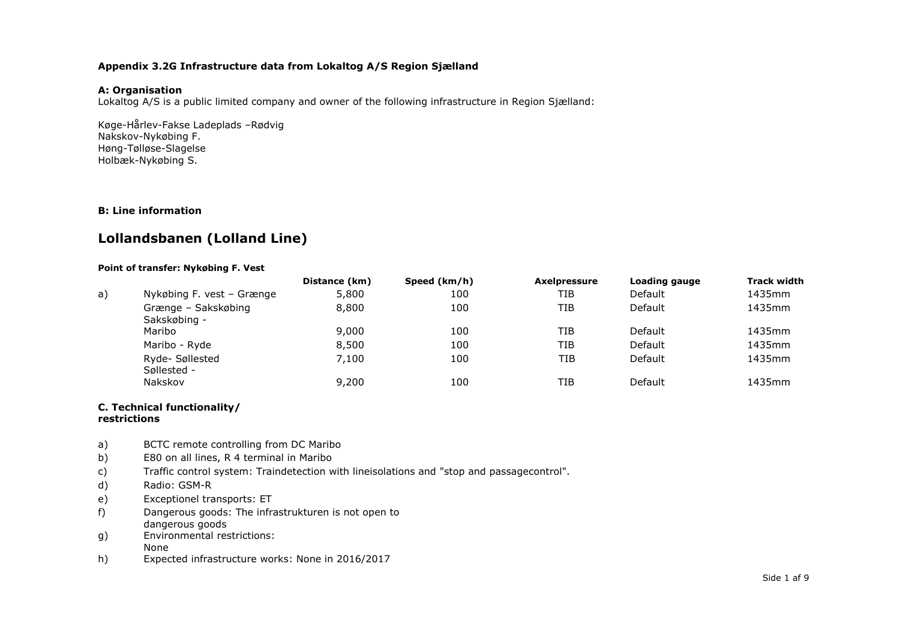### **Appendix 3.2G Infrastructure data from Lokaltog A/S Region Sjælland**

### **A: Organisation**

Lokaltog A/S is a public limited company and owner of the following infrastructure in Region Sjælland:

Køge-Hårlev-Fakse Ladeplads –Rødvig Nakskov-Nykøbing F. Høng-Tølløse-Slagelse Holbæk-Nykøbing S.

### **B: Line information**

## **Lollandsbanen (Lolland Line)**

### **Point of transfer: Nykøbing F. Vest**

|    |                                     | Distance (km) | Speed (km/h) | <b>Axelpressure</b> | Loading gauge  | <b>Track width</b> |
|----|-------------------------------------|---------------|--------------|---------------------|----------------|--------------------|
| a) | Nykøbing F. vest - Grænge           | 5,800         | 100          | TIB                 | Default        | 1435mm             |
|    | Grænge - Sakskøbing<br>Sakskøbing - | 8,800         | 100          | TIB                 | Default        | 1435mm             |
|    | Maribo                              | 9,000         | 100          | TIB                 | Default        | 1435mm             |
|    | Maribo - Ryde                       | 8,500         | 100          | TIB                 | Default        | 1435mm             |
|    | Ryde-Søllested<br>Søllested -       | 7,100         | 100          | TIB                 | <b>Default</b> | 1435mm             |
|    | Nakskov                             | 9,200         | 100          | TIB                 | <b>Default</b> | 1435mm             |

#### **C. Technical functionality/ restrictions**

- a) BCTC remote controlling from DC Maribo
- b) E80 on all lines, R 4 terminal in Maribo
- c) Traffic control system: Traindetection with lineisolations and "stop and passagecontrol".
- d) Radio: GSM-R
- e) Exceptionel transports: ET
- f) Dangerous goods: The infrastrukturen is not open to dangerous goods
- g) Environmental restrictions: None
- h) Expected infrastructure works: None in 2016/2017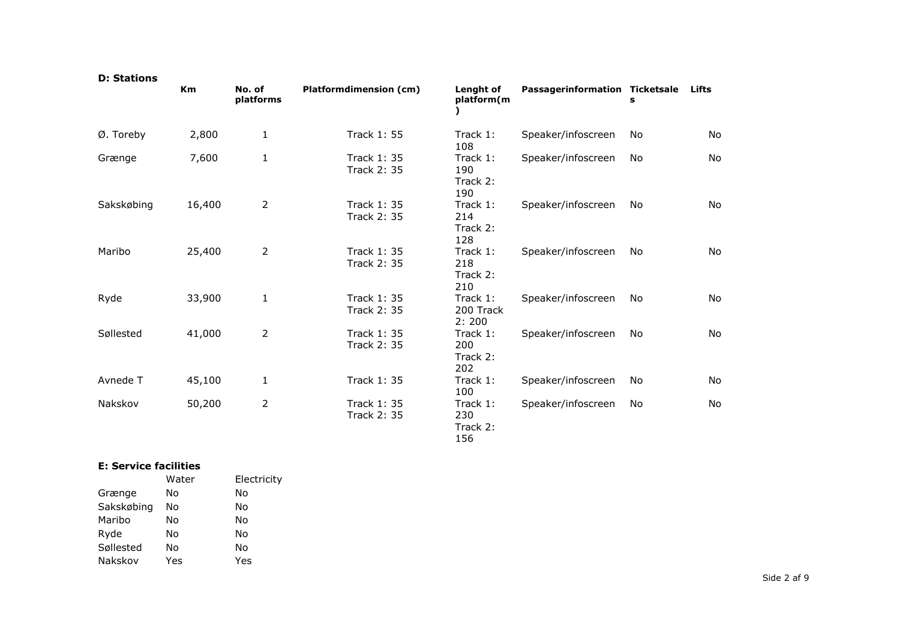| <b>D: Stations</b> |        |                     |                                          |                                    |                                |    |              |
|--------------------|--------|---------------------|------------------------------------------|------------------------------------|--------------------------------|----|--------------|
|                    | Km     | No. of<br>platforms | Platformdimension (cm)                   | <b>Lenght of</b><br>platform(m     | Passagerinformation Ticketsale | s  | <b>Lifts</b> |
| Ø. Toreby          | 2,800  | $\mathbf{1}$        | <b>Track 1: 55</b>                       | Track 1:<br>108                    | Speaker/infoscreen             | No | <b>No</b>    |
| Grænge             | 7,600  | $\mathbf{1}$        | <b>Track 1: 35</b><br><b>Track 2: 35</b> | Track 1:<br>190<br>Track 2:<br>190 | Speaker/infoscreen             | No | No           |
| Sakskøbing         | 16,400 | $\overline{2}$      | <b>Track 1: 35</b><br><b>Track 2: 35</b> | Track 1:<br>214<br>Track 2:<br>128 | Speaker/infoscreen             | No | <b>No</b>    |
| Maribo             | 25,400 | $\overline{2}$      | <b>Track 1: 35</b><br><b>Track 2: 35</b> | Track 1:<br>218<br>Track 2:<br>210 | Speaker/infoscreen             | No | <b>No</b>    |
| Ryde               | 33,900 | $\mathbf 1$         | <b>Track 1: 35</b><br><b>Track 2: 35</b> | Track 1:<br>200 Track<br>2:200     | Speaker/infoscreen             | No | No           |
| Søllested          | 41,000 | $\overline{2}$      | <b>Track 1: 35</b><br><b>Track 2: 35</b> | Track 1:<br>200<br>Track 2:<br>202 | Speaker/infoscreen             | No | <b>No</b>    |
| Avnede T           | 45,100 | $\mathbf{1}$        | <b>Track 1: 35</b>                       | Track 1:<br>100                    | Speaker/infoscreen             | No | No           |
| Nakskov            | 50,200 | $\overline{2}$      | <b>Track 1: 35</b><br><b>Track 2: 35</b> | Track 1:<br>230<br>Track 2:<br>156 | Speaker/infoscreen             | No | No           |

### **E: Service facilities**

| E: Service iachities |       |             |  |  |  |
|----------------------|-------|-------------|--|--|--|
|                      | Water | Electricity |  |  |  |
| Grænge               | No    | No          |  |  |  |
| Sakskøbing           | No    | No          |  |  |  |
| Maribo               | No    | No          |  |  |  |
| Ryde                 | No    | No          |  |  |  |
| Søllested            | No    | No          |  |  |  |
| Nakskov              | Yes   | Yes         |  |  |  |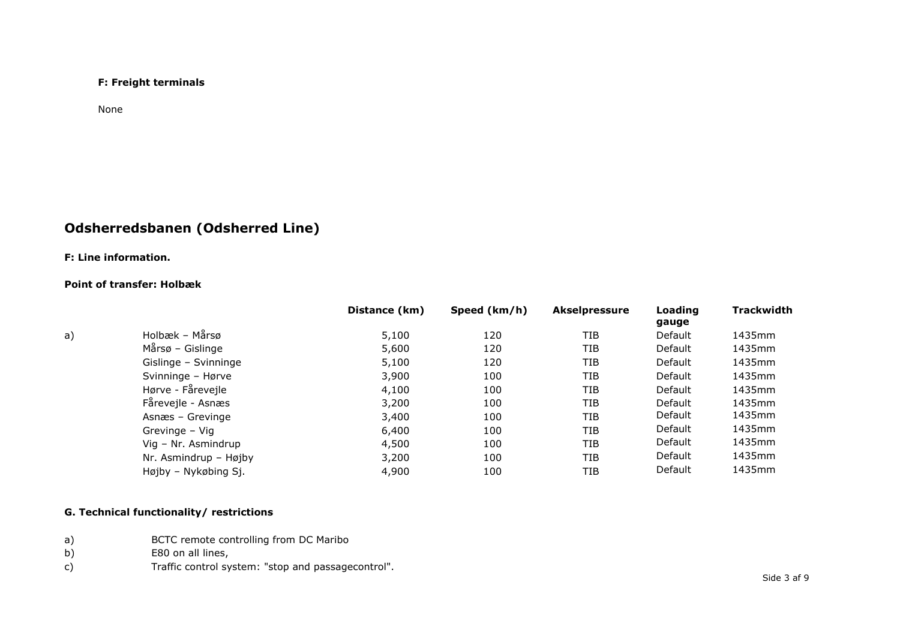### **F: Freight terminals**

None

# **Odsherredsbanen (Odsherred Line)**

## **F: Line information.**

### **Point of transfer: Holbæk**

|    |                        | Distance (km) | Speed (km/h) | <b>Akselpressure</b> | Loading<br>gauge | Trackwidth |
|----|------------------------|---------------|--------------|----------------------|------------------|------------|
| a) | Holbæk – Mårsø         | 5,100         | 120          | <b>TIB</b>           | Default          | 1435mm     |
|    | $M\arcsin - G$ islinge | 5,600         | 120          | <b>TIB</b>           | Default          | 1435mm     |
|    | Gislinge - Svinninge   | 5,100         | 120          | TIB                  | Default          | 1435mm     |
|    | Svinninge - Hørve      | 3,900         | 100          | TIB                  | Default          | 1435mm     |
|    | Hørve - Fårevejle      | 4,100         | 100          | TIB                  | Default          | 1435mm     |
|    | Fårevejle - Asnæs      | 3,200         | 100          | <b>TIB</b>           | Default          | 1435mm     |
|    | Asnæs - Grevinge       | 3,400         | 100          | <b>TIB</b>           | Default          | 1435mm     |
|    | Grevinge - Vig         | 6,400         | 100          | <b>TIB</b>           | Default          | 1435mm     |
|    | Vig - Nr. Asmindrup    | 4,500         | 100          | TIB                  | Default          | 1435mm     |
|    | Nr. Asmindrup - Højby  | 3,200         | 100          | <b>TIB</b>           | Default          | 1435mm     |
|    | Højby - Nykøbing Sj.   | 4,900         | 100          | TIB                  | Default          | 1435mm     |

## **G. Technical functionality/ restrictions**

- a) BCTC remote controlling from DC Maribo
- b) E80 on all lines,
- c) Traffic control system: "stop and passagecontrol".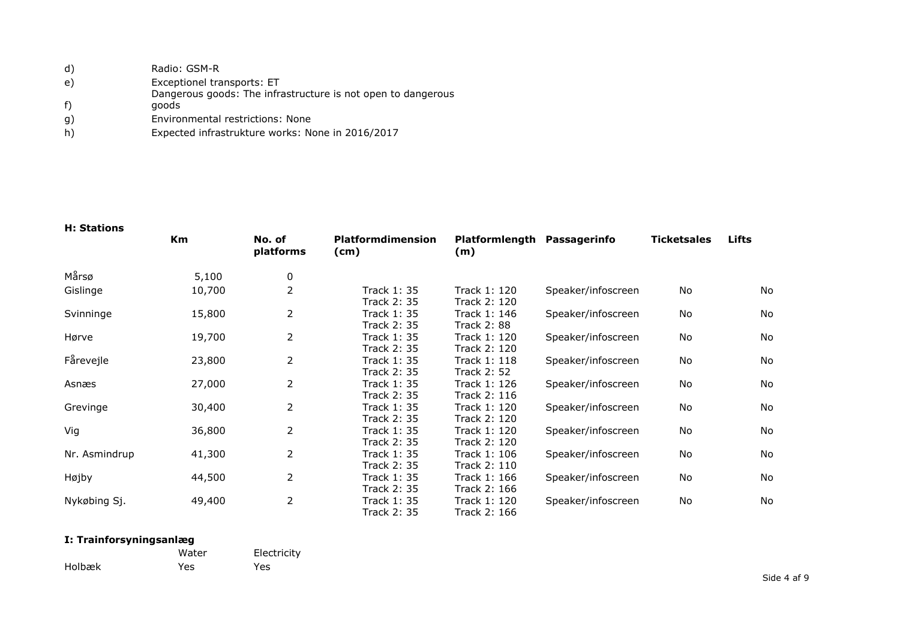| d) | Radio: GSM-R                                                 |
|----|--------------------------------------------------------------|
| e) | Exceptionel transports: ET                                   |
|    | Dangerous goods: The infrastructure is not open to dangerous |
| f) | goods                                                        |
| g) | Environmental restrictions: None                             |
| h) | Expected infrastrukture works: None in 2016/2017             |

### **H: Stations**

|               | Km     | No. of<br>platforms | <b>Platformdimension</b><br>(cm) | Platformlength Passagerinfo<br>(m) |                    | <b>Ticketsales</b> | Lifts |
|---------------|--------|---------------------|----------------------------------|------------------------------------|--------------------|--------------------|-------|
| Mårsø         | 5,100  | 0                   |                                  |                                    |                    |                    |       |
| Gislinge      | 10,700 | $\overline{2}$      | <b>Track 1: 35</b>               | Track 1: 120                       | Speaker/infoscreen | <b>No</b>          | No    |
|               |        |                     | <b>Track 2: 35</b>               | Track 2: 120                       |                    |                    |       |
| Svinninge     | 15,800 | $\overline{2}$      | <b>Track 1: 35</b>               | Track 1: 146                       | Speaker/infoscreen | <b>No</b>          | No    |
|               |        |                     | <b>Track 2: 35</b>               | <b>Track 2: 88</b>                 |                    |                    |       |
| Hørve         | 19,700 | $\overline{2}$      | Track 1: 35                      | Track 1: 120                       | Speaker/infoscreen | No                 | No    |
|               |        |                     | <b>Track 2: 35</b>               | Track 2: 120                       |                    |                    |       |
| Fårevejle     | 23,800 | $\overline{2}$      | <b>Track 1: 35</b>               | Track 1: 118                       | Speaker/infoscreen | No                 | No    |
|               |        |                     | <b>Track 2: 35</b>               | <b>Track 2: 52</b>                 |                    |                    |       |
| Asnæs         | 27,000 | $\overline{2}$      | <b>Track 1: 35</b>               | Track 1: 126                       | Speaker/infoscreen | No                 | No    |
|               |        |                     | <b>Track 2: 35</b>               | Track 2: 116                       |                    |                    |       |
| Grevinge      | 30,400 | $\overline{2}$      | Track 1: 35                      | Track 1: 120                       | Speaker/infoscreen | No                 | No    |
|               |        |                     | <b>Track 2: 35</b>               | Track 2: 120                       |                    |                    |       |
| Vig           | 36,800 | $\overline{2}$      | Track 1: 35                      | Track 1: 120                       | Speaker/infoscreen | No                 | No    |
|               |        |                     | Track 2: 35                      | Track 2: 120                       |                    |                    |       |
| Nr. Asmindrup | 41,300 | $\overline{2}$      | <b>Track 1: 35</b>               | Track 1: 106                       | Speaker/infoscreen | No                 | No    |
|               |        |                     | <b>Track 2: 35</b>               | Track 2: 110                       |                    |                    |       |
| Højby         | 44,500 | $\overline{2}$      | <b>Track 1: 35</b>               | Track 1: 166                       | Speaker/infoscreen | <b>No</b>          | No    |
|               |        |                     | <b>Track 2: 35</b>               | Track 2: 166                       |                    |                    |       |
| Nykøbing Sj.  | 49,400 | $\overline{2}$      | <b>Track 1: 35</b>               | Track 1: 120                       | Speaker/infoscreen | No                 | No    |
|               |        |                     | <b>Track 2: 35</b>               | Track 2: 166                       |                    |                    |       |

## **I: Trainforsyningsanlæg**

|        | Water | Electricity |
|--------|-------|-------------|
| Holbæk | Yes   | Yes         |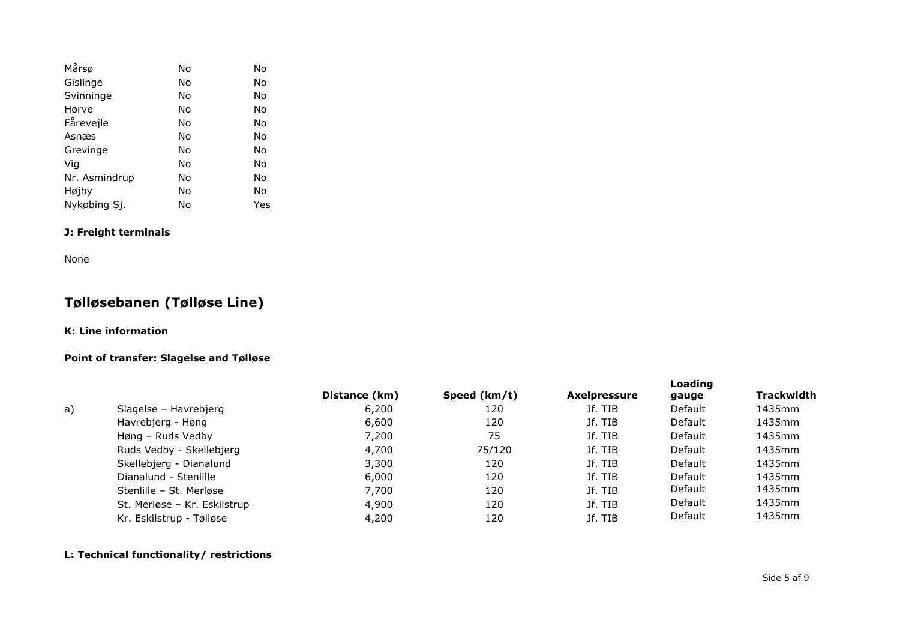| Mårsø         | N <sub>o</sub> | No  |
|---------------|----------------|-----|
| Gislinge      | No             | No  |
| Svinninge     | No             | No  |
| Hørve         | No             | No  |
| Fårevejle     | No             | No  |
| Asnæs         | No             | No  |
| Grevinge      | No             | No  |
| Vig           | No             | No  |
| Nr. Asmindrup | No             | No  |
| Højby         | No             | No  |
| Nykøbing Sj.  | No             | Yes |

## **J: Freight terminals**

None

# **Tølløsebanen (Tølløse Line)**

## **K: Line information**

### **Point of transfer: Slagelse and Tølløse**

|    |                              | Distance (km) | Speed (km/t) | <b>Axelpressure</b> | Loading<br>gauge | <b>Trackwidth</b> |
|----|------------------------------|---------------|--------------|---------------------|------------------|-------------------|
| a) | Slagelse – Havrebjerg        | 6,200         | 120          | Jf. TIB             | Default          | 1435mm            |
|    | Havrebjerg - Høng            | 6,600         | 120          | Jf. TIB             | Default          | 1435mm            |
|    | Høng – Ruds Vedby            | 7,200         | 75           | Jf. TIB             | Default          | 1435mm            |
|    | Ruds Vedby - Skellebjerg     | 4,700         | 75/120       | Jf. TIB             | Default          | 1435mm            |
|    | Skellebjerg - Dianalund      | 3,300         | 120          | Jf. TIB             | Default          | 1435mm            |
|    | Dianalund - Stenlille        | 6,000         | 120          | Jf. TIB             | Default          | 1435mm            |
|    | Stenlille - St. Merløse      | 7,700         | 120          | Jf. TIB             | Default          | 1435mm            |
|    | St. Merløse - Kr. Eskilstrup | 4,900         | 120          | Jf. TIB             | Default          | 1435mm            |
|    | Kr. Eskilstrup - Tølløse     | 4,200         | 120          | Jf. TIB             | Default          | 1435mm            |

### **L: Technical functionality/ restrictions**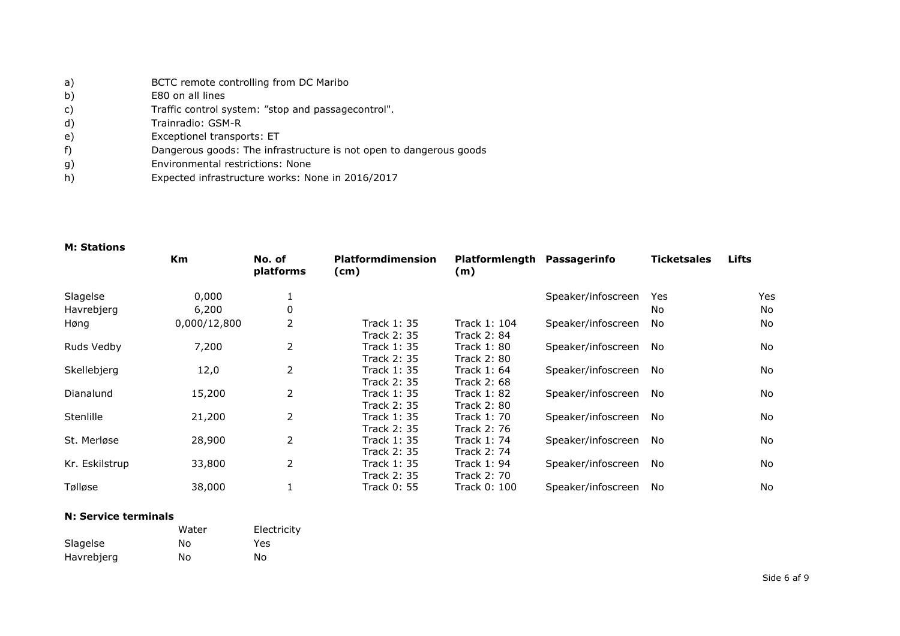| a) | BCTC remote controlling from DC Maribo |
|----|----------------------------------------|
| b) | E80 on all lines                       |

- c) Traffic control system: "stop and passagecontrol".
- d) Trainradio: GSM-R
- e) Exceptionel transports: ET
- f) Dangerous goods: The infrastructure is not open to dangerous goods
- g) Environmental restrictions: None
- h) Expected infrastructure works: None in 2016/2017

### **M: Stations**

|                | <b>Km</b>    | No. of<br>platforms | <b>Platformdimension</b><br>(cm)         | Platformlength Passagerinfo<br>(m)       |                    | Ticketsales | <b>Lifts</b> |
|----------------|--------------|---------------------|------------------------------------------|------------------------------------------|--------------------|-------------|--------------|
| Slagelse       | 0,000        |                     |                                          |                                          | Speaker/infoscreen | Yes         | Yes          |
| Havrebjerg     | 6,200        | 0                   |                                          |                                          |                    | No.         | No.          |
| Høng           | 0,000/12,800 | 2                   | Track 1: 35<br>Track 2: 35               | Track 1: 104<br><b>Track 2: 84</b>       | Speaker/infoscreen | No          | <b>No</b>    |
| Ruds Vedby     | 7,200        | $\overline{2}$      | Track 1: 35<br>Track 2: 35               | <b>Track 1: 80</b><br><b>Track 2: 80</b> | Speaker/infoscreen | No          | No.          |
| Skellebjerg    | 12,0         | 2                   | Track 1: 35<br><b>Track 2: 35</b>        | Track 1: 64<br><b>Track 2: 68</b>        | Speaker/infoscreen | No          | No.          |
| Dianalund      | 15,200       | 2                   | <b>Track 1: 35</b><br><b>Track 2: 35</b> | <b>Track 1: 82</b><br><b>Track 2: 80</b> | Speaker/infoscreen | No          | No.          |
| Stenlille      | 21,200       | $\overline{2}$      | Track 1: 35<br><b>Track 2: 35</b>        | Track 1: 70<br><b>Track 2: 76</b>        | Speaker/infoscreen | No          | <b>No</b>    |
| St. Merløse    | 28,900       | 2                   | Track 1: 35<br><b>Track 2: 35</b>        | Track 1: 74<br><b>Track 2: 74</b>        | Speaker/infoscreen | No          | No.          |
| Kr. Eskilstrup | 33,800       | 2                   | <b>Track 1: 35</b><br><b>Track 2: 35</b> | <b>Track 1: 94</b><br><b>Track 2: 70</b> | Speaker/infoscreen | No          | <b>No</b>    |
| Tølløse        | 38,000       |                     | Track 0: 55                              | Track 0: 100                             | Speaker/infoscreen | No          | No.          |

#### **N: Service terminals**

|            | Water | Electricity |
|------------|-------|-------------|
| Slagelse   | No    | Yes         |
| Havrebjerg | No    | No          |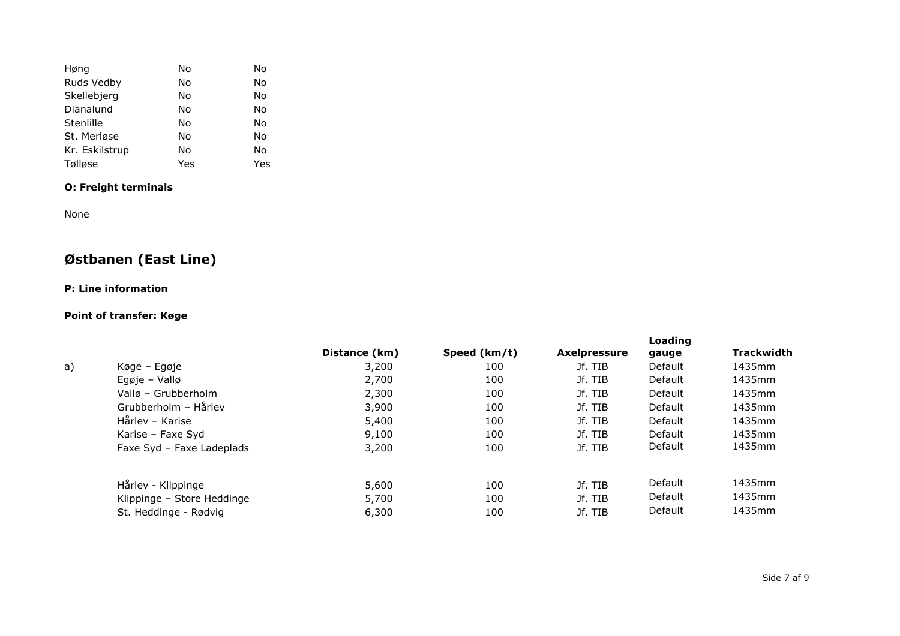| Høng           | No  | No  |
|----------------|-----|-----|
| Ruds Vedby     | No  | No  |
| Skellebjerg    | No  | No  |
| Dianalund      | No  | No  |
| Stenlille      | No  | No  |
| St. Merløse    | No  | No  |
| Kr. Eskilstrup | No  | No  |
| Tølløse        | Yes | Yes |

## **O: Freight terminals**

None

# **Østbanen (East Line)**

## **P: Line information**

## **Point of transfer: Køge**

|    |                            | Distance (km) | Speed (km/t) | <b>Axelpressure</b> | Loading<br>gauge | <b>Trackwidth</b> |
|----|----------------------------|---------------|--------------|---------------------|------------------|-------------------|
| a) | Køge – Egøje               | 3,200         | 100          | Jf. TIB             | Default          | 1435mm            |
|    | Egøje – Vallø              | 2,700         | 100          | Jf. TIB             | Default          | 1435mm            |
|    | Vallø – Grubberholm        | 2,300         | 100          | Jf. TIB             | <b>Default</b>   | 1435mm            |
|    | Grubberholm - Hårlev       | 3,900         | 100          | Jf. TIB             | Default          | 1435mm            |
|    | Hårlev – Karise            | 5,400         | 100          | Jf. TIB             | Default          | 1435mm            |
|    | Karise - Faxe Syd          | 9,100         | 100          | Jf. TIB             | Default          | 1435mm            |
|    | Faxe Syd - Faxe Ladeplads  | 3,200         | 100          | Jf. TIB             | Default          | 1435mm            |
|    | Hårlev - Klippinge         | 5,600         | 100          | Jf. TIB             | Default          | 1435mm            |
|    | Klippinge - Store Heddinge | 5,700         | 100          | Jf. TIB             | Default          | 1435mm            |
|    | St. Heddinge - Rødvig      | 6,300         | 100          | Jf. TIB             | Default          | 1435mm            |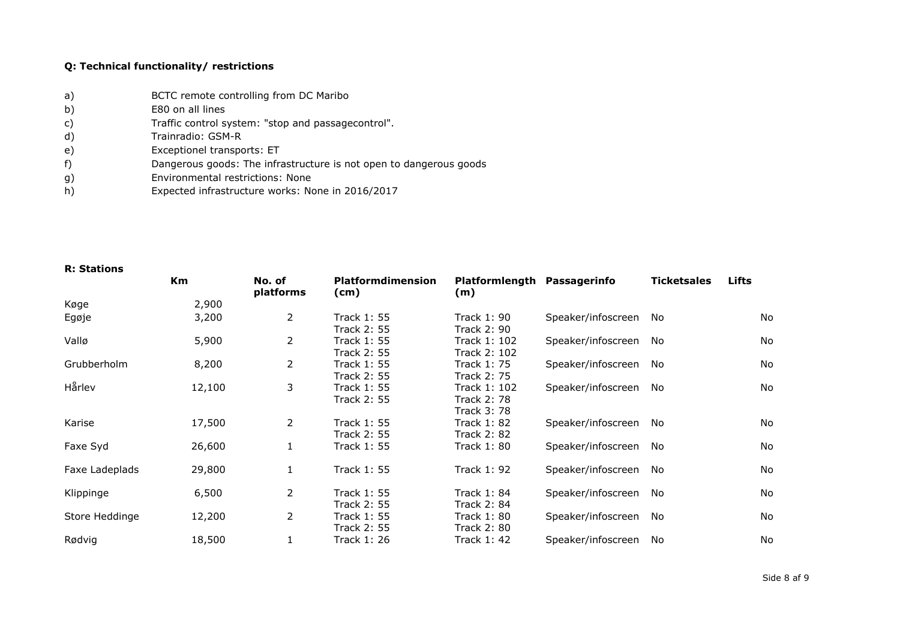### **Q: Technical functionality/ restrictions**

- a) BCTC remote controlling from DC Maribo
- b) E80 on all lines
- c) Traffic control system: "stop and passagecontrol".
- d) Trainradio: GSM-R
- e) Exceptionel transports: ET
- f) Dangerous goods: The infrastructure is not open to dangerous goods
- g) Environmental restrictions: None
- h) Expected infrastructure works: None in 2016/2017

|                | Km     | No. of<br>platforms | <b>Platformdimension</b><br>(cm) | Platformlength Passagerinfo<br>(m) |                    | <b>Ticketsales</b> | Lifts |
|----------------|--------|---------------------|----------------------------------|------------------------------------|--------------------|--------------------|-------|
| Køge           | 2,900  |                     |                                  |                                    |                    |                    |       |
| Egøje          | 3,200  | $\overline{2}$      | Track 1: 55                      | Track 1: 90                        | Speaker/infoscreen | No                 | No    |
|                |        |                     | Track 2: 55                      | Track 2: 90                        |                    |                    |       |
| Vallø          | 5,900  | $\overline{2}$      | Track 1: 55                      | Track 1: 102                       | Speaker/infoscreen | No.                | No    |
|                |        |                     | Track 2: 55                      | Track 2: 102                       |                    |                    |       |
| Grubberholm    | 8,200  | $\overline{2}$      | Track 1: 55                      | Track 1: 75                        | Speaker/infoscreen | No.                | No    |
|                |        |                     | Track 2: 55                      | Track 2: 75                        |                    |                    |       |
| Hårlev         | 12,100 | 3                   | Track 1: 55                      | Track 1: 102                       | Speaker/infoscreen | No                 | No    |
|                |        |                     | Track 2: 55                      | Track 2: 78                        |                    |                    |       |
|                |        |                     |                                  | Track 3: 78                        |                    |                    |       |
| Karise         | 17,500 | $\overline{2}$      | <b>Track 1: 55</b>               | Track 1: 82                        | Speaker/infoscreen | No                 | No    |
|                |        |                     | Track 2: 55                      | <b>Track 2: 82</b>                 |                    |                    |       |
| Faxe Syd       | 26,600 |                     | Track 1: 55                      | Track 1: 80                        | Speaker/infoscreen | No                 | No    |
| Faxe Ladeplads | 29,800 | $\mathbf{1}$        | Track 1: 55                      | Track 1: 92                        | Speaker/infoscreen | No                 | No    |
| Klippinge      | 6,500  | $\overline{2}$      | Track 1: 55                      | Track 1: 84                        | Speaker/infoscreen | No                 | No    |
|                |        |                     | <b>Track 2: 55</b>               | <b>Track 2: 84</b>                 |                    |                    |       |
| Store Heddinge | 12,200 | $\overline{2}$      | Track 1: 55                      | Track 1: 80                        | Speaker/infoscreen | No                 | No    |
|                |        |                     | <b>Track 2: 55</b>               | Track 2: 80                        |                    |                    |       |
| Rødvig         | 18,500 |                     | Track 1: 26                      | Track 1: 42                        | Speaker/infoscreen | No                 | No    |
|                |        |                     |                                  |                                    |                    |                    |       |